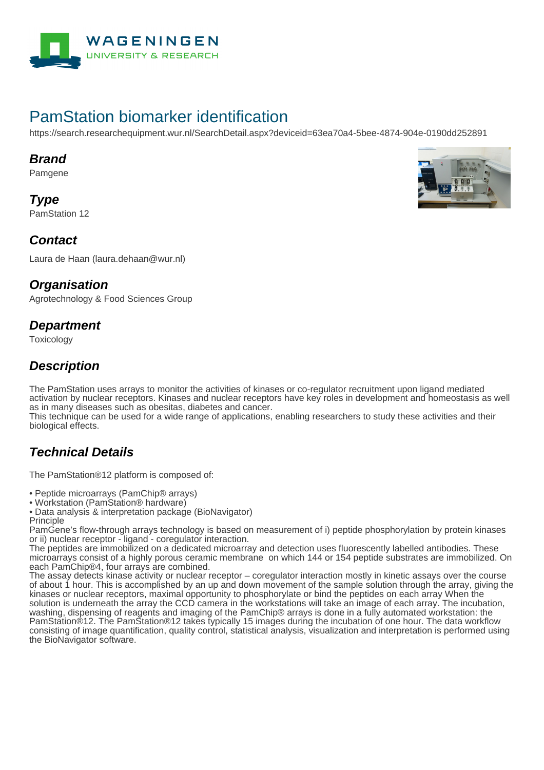

# PamStation biomarker identification

https://search.researchequipment.wur.nl/SearchDetail.aspx?deviceid=63ea70a4-5bee-4874-904e-0190dd252891

#### **Brand**

Pamgene

**Type** PamStation 12



#### **Contact**

Laura de Haan (laura.dehaan@wur.nl)

#### **Organisation**

Agrotechnology & Food Sciences Group

#### **Department**

Toxicology

### **Description**

The PamStation uses arrays to monitor the activities of kinases or co-regulator recruitment upon ligand mediated activation by nuclear receptors. Kinases and nuclear receptors have key roles in development and homeostasis as well as in many diseases such as obesitas, diabetes and cancer.

This technique can be used for a wide range of applications, enabling researchers to study these activities and their biological effects.

## **Technical Details**

The PamStation®12 platform is composed of:

• Peptide microarrays (PamChip® arrays)

• Workstation (PamStation® hardware)

• Data analysis & interpretation package (BioNavigator) Principle

PamGene's flow-through arrays technology is based on measurement of i) peptide phosphorylation by protein kinases or ii) nuclear receptor - ligand - coregulator interaction.

The peptides are immobilized on a dedicated microarray and detection uses fluorescently labelled antibodies. These microarrays consist of a highly porous ceramic membrane on which 144 or 154 peptide substrates are immobilized. On each PamChip®4, four arrays are combined.

The assay detects kinase activity or nuclear receptor – coregulator interaction mostly in kinetic assays over the course of about 1 hour. This is accomplished by an up and down movement of the sample solution through the array, giving the kinases or nuclear receptors, maximal opportunity to phosphorylate or bind the peptides on each array When the solution is underneath the array the CCD camera in the workstations will take an image of each array. The incubation, washing, dispensing of reagents and imaging of the PamChip® arrays is done in a fully automated workstation: the PamStation®12. The PamStation®12 takes typically 15 images during the incubation of one hour. The data workflow consisting of image quantification, quality control, statistical analysis, visualization and interpretation is performed using the BioNavigator software.